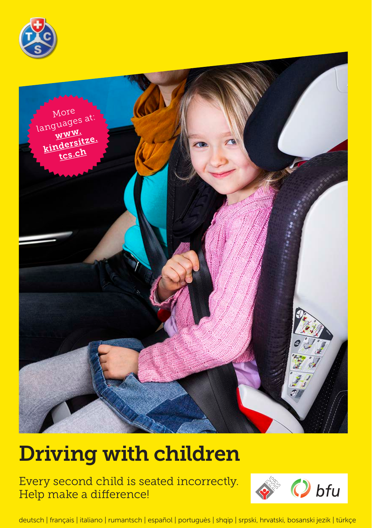



# Driving with children

Every second child is seated incorrectly. Help make a difference!



deutsch | français | italiano | rumantsch | español | portuguès | shqip | srpski, hrvatski, bosanski jezik | türkçe